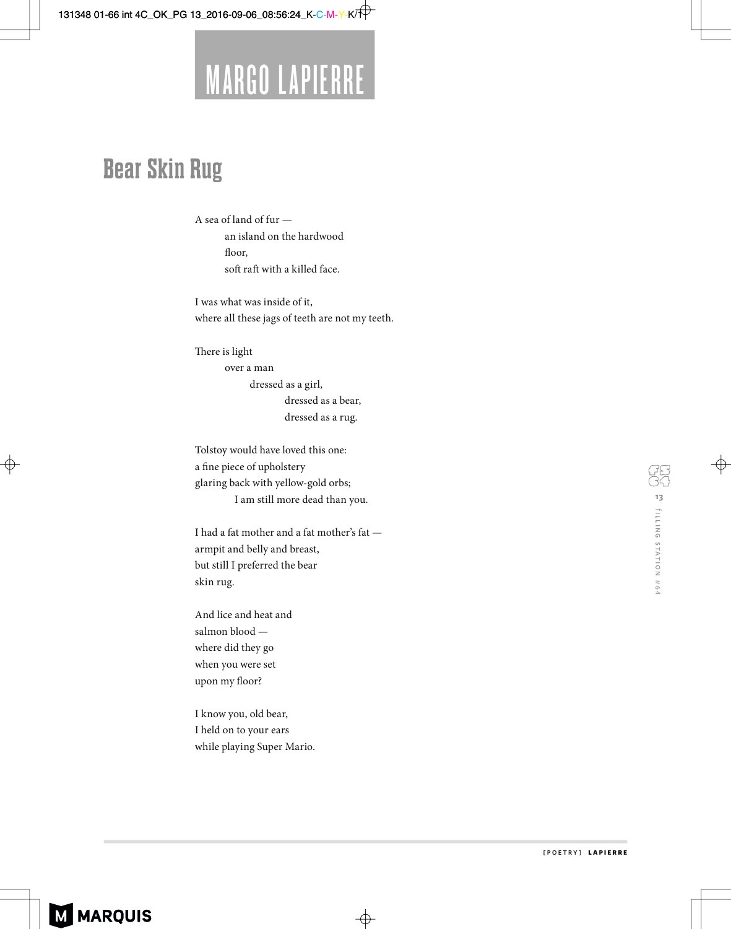131348 01-66 int 4C\_OK\_PG 13\_2016-09-06\_08:56:24\_K-C-M-Y-K/TP



## **Bear Skin Rug**

A sea of land of fur an island on the hardwood floor, soft raft with a killed face.

I was what was inside of it, where all these jags of teeth are not my teeth.

There is light over a man dressed as a girl, dressed as a bear, dressed as a rug.

Tolstoy would have loved this one: a fine piece of upholstery glaring back with yellow-gold orbs; I am still more dead than you.

I had a fat mother and a fat mother's fat armpit and belly and breast, but still I preferred the bear skin rug.

And lice and heat and salmon blood where did they go when you were set upon my floor?

I know you, old bear, I held on to your ears while playing Super Mario.